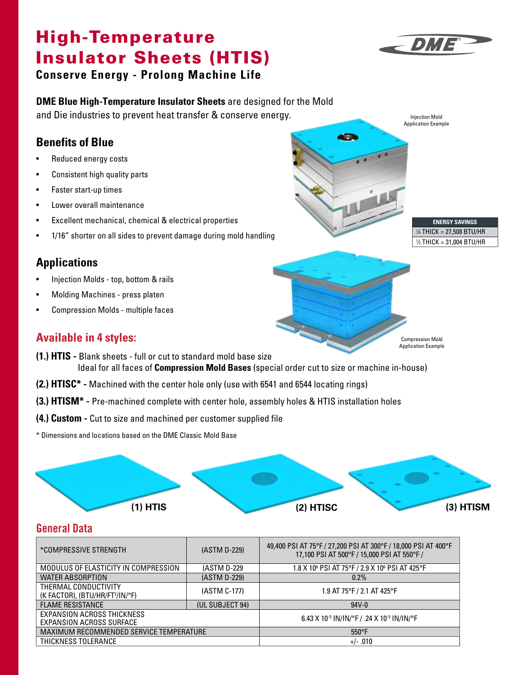# High-Temperature And The Temperature Insulator Sheets (HTIS)



Injection Mold Application Example

**AB** 

**ENERGY SAVINGS** 1 ⁄4 THICK = 27,508 BTU/HR 1 ⁄2 THICK = 31,004 BTU/HR

Compression Mold Application Example

**Conserve Energy - Prolong Machine Life**

#### **DME Blue High-Temperature Insulator Sheets** are designed for the Mold

and Die industries to prevent heat transfer & conserve energy.

### **Benefits of Blue**

- Reduced energy costs
- Consistent high quality parts
- Faster start-up times
- Lower overall maintenance
- Excellent mechanical, chemical & electrical properties
- 1/16" shorter on all sides to prevent damage during mold handling

#### **Applications**

- Injection Molds top, bottom & rails
- Molding Machines press platen
- Compression Molds multiple faces

#### **Available in 4 styles:**

- **(1.) HTIS** Blank sheets full or cut to standard mold base size Ideal for all faces of **Compression Mold Bases** (special order cut to size or machine in-house)
- **(2.) HTISC\*** Machined with the center hole only (use with 6541 and 6544 locating rings)
- **(3.) HTISM\*** Pre-machined complete with center hole, assembly holes & HTIS installation holes
- **(4.) Custom** Cut to size and machined per customer supplied file
- \* Dimensions and locations based on the DME Classic Mold Base



#### **General Data**

| *COMPRESSIVE STRENGTH                                               | (ASTM D-229)    | 49,400 PSI AT 75°F / 27,200 PSI AT 300°F / 18,000 PSI AT 400°F<br>17,100 PSI AT 500°F / 15,000 PSI AT 550°F / |  |  |
|---------------------------------------------------------------------|-----------------|---------------------------------------------------------------------------------------------------------------|--|--|
| MODULUS OF ELASTICITY IN COMPRESSION                                | (ASTM D-229     | 1.8 X 106 PSI AT 75°F / 2.9 X 106 PSI AT 425°F                                                                |  |  |
| <b>WATER ABSORPTION</b>                                             | (ASTM D-229)    | $0.2\%$                                                                                                       |  |  |
| THERMAL CONDUCTIVITY<br>(K FACTOR), (BTU/HR/FT <sup>2</sup> /IN/°F) | (ASTM C-177)    | 1.9 AT 75°F / 2.1 AT 425°F                                                                                    |  |  |
| <b>FLAME RESISTANCE</b>                                             | (UL SUBJECT 94) | $94V - 0$                                                                                                     |  |  |
| EXPANSION ACROSS THICKNESS<br>EXPANSION ACROSS SURFACE              |                 | 6.43 X 10 <sup>-5</sup> IN/IN/°F / .24 X 10 <sup>-5</sup> IN/IN/°F                                            |  |  |
| MAXIMUM RECOMMENDED SERVICE TEMPERATURE                             |                 | $550^{\circ}$ F                                                                                               |  |  |
| THICKNESS TOLERANCE                                                 |                 | $+/- .010$                                                                                                    |  |  |